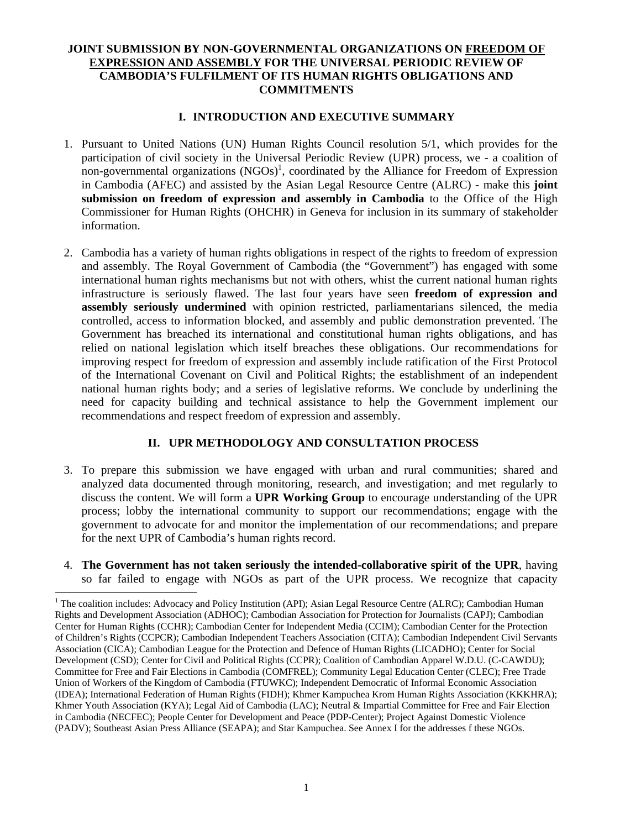## **JOINT SUBMISSION BY NON-GOVERNMENTAL ORGANIZATIONS ON FREEDOM OF EXPRESSION AND ASSEMBLY FOR THE UNIVERSAL PERIODIC REVIEW OF CAMBODIA'S FULFILMENT OF ITS HUMAN RIGHTS OBLIGATIONS AND COMMITMENTS**

#### **I. INTRODUCTION AND EXECUTIVE SUMMARY**

- 1. Pursuant to United Nations (UN) Human Rights Council resolution 5/1, which provides for the participation of civil society in the Universal Periodic Review (UPR) process, we - a coalition of non-governmental organizations  $(NGOs)^1$ , coordinated by the Alliance for Freedom of Expression in Cambodia (AFEC) and assisted by the Asian Legal Resource Centre (ALRC) - make this **joint submission on freedom of expression and assembly in Cambodia** to the Office of the High Commissioner for Human Rights (OHCHR) in Geneva for inclusion in its summary of stakeholder information.
- 2. Cambodia has a variety of human rights obligations in respect of the rights to freedom of expression and assembly. The Royal Government of Cambodia (the "Government") has engaged with some international human rights mechanisms but not with others, whist the current national human rights infrastructure is seriously flawed. The last four years have seen **freedom of expression and assembly seriously undermined** with opinion restricted, parliamentarians silenced, the media controlled, access to information blocked, and assembly and public demonstration prevented. The Government has breached its international and constitutional human rights obligations, and has relied on national legislation which itself breaches these obligations. Our recommendations for improving respect for freedom of expression and assembly include ratification of the First Protocol of the International Covenant on Civil and Political Rights; the establishment of an independent national human rights body; and a series of legislative reforms. We conclude by underlining the need for capacity building and technical assistance to help the Government implement our recommendations and respect freedom of expression and assembly.

#### **II. UPR METHODOLOGY AND CONSULTATION PROCESS**

- 3. To prepare this submission we have engaged with urban and rural communities; shared and analyzed data documented through monitoring, research, and investigation; and met regularly to discuss the content. We will form a **UPR Working Group** to encourage understanding of the UPR process; lobby the international community to support our recommendations; engage with the government to advocate for and monitor the implementation of our recommendations; and prepare for the next UPR of Cambodia's human rights record.
- 4. **The Government has not taken seriously the intended-collaborative spirit of the UPR**, having so far failed to engage with NGOs as part of the UPR process. We recognize that capacity

 $\overline{a}$ 

<sup>&</sup>lt;sup>1</sup> The coalition includes: Advocacy and Policy Institution (API); Asian Legal Resource Centre (ALRC); Cambodian Human Rights and Development Association (ADHOC); Cambodian Association for Protection for Journalists (CAPJ); Cambodian Center for Human Rights (CCHR); Cambodian Center for Independent Media (CCIM); Cambodian Center for the Protection of Children's Rights (CCPCR); Cambodian Independent Teachers Association (CITA); Cambodian Independent Civil Servants Association (CICA); Cambodian League for the Protection and Defence of Human Rights (LICADHO); Center for Social Development (CSD); Center for Civil and Political Rights (CCPR); Coalition of Cambodian Apparel W.D.U. (C-CAWDU); Committee for Free and Fair Elections in Cambodia (COMFREL); Community Legal Education Center (CLEC); Free Trade Union of Workers of the Kingdom of Cambodia (FTUWKC); Independent Democratic of Informal Economic Association (IDEA); International Federation of Human Rights (FIDH); Khmer Kampuchea Krom Human Rights Association (KKKHRA); Khmer Youth Association (KYA); Legal Aid of Cambodia (LAC); Neutral & Impartial Committee for Free and Fair Election in Cambodia (NECFEC); People Center for Development and Peace (PDP-Center); Project Against Domestic Violence (PADV); Southeast Asian Press Alliance (SEAPA); and Star Kampuchea. See Annex I for the addresses f these NGOs.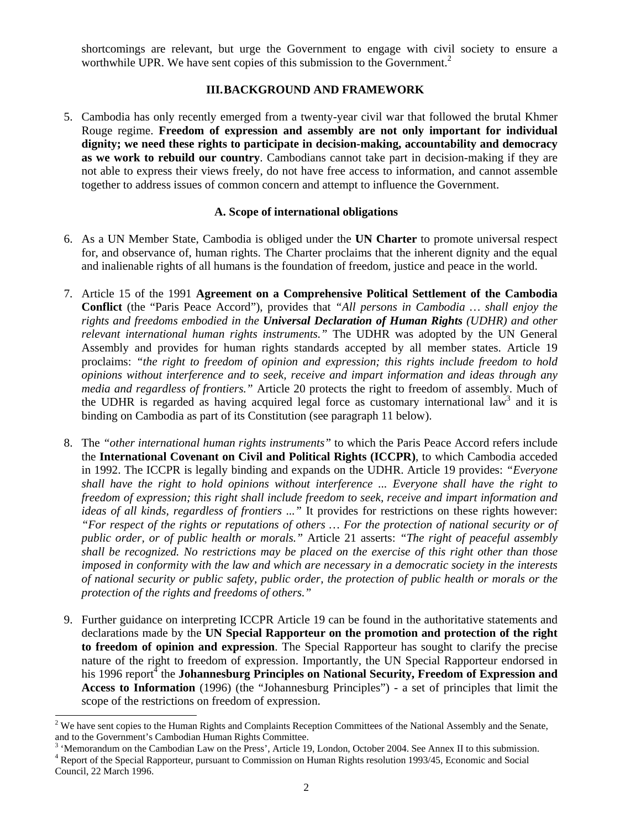shortcomings are relevant, but urge the Government to engage with civil society to ensure a worthwhile UPR. We have sent copies of this submission to the Government.<sup>2</sup>

### **III.BACKGROUND AND FRAMEWORK**

5. Cambodia has only recently emerged from a twenty-year civil war that followed the brutal Khmer Rouge regime. **Freedom of expression and assembly are not only important for individual dignity; we need these rights to participate in decision-making, accountability and democracy as we work to rebuild our country**. Cambodians cannot take part in decision-making if they are not able to express their views freely, do not have free access to information, and cannot assemble together to address issues of common concern and attempt to influence the Government.

#### **A. Scope of international obligations**

- 6. As a UN Member State, Cambodia is obliged under the **UN Charter** to promote universal respect for, and observance of, human rights. The Charter proclaims that the inherent dignity and the equal and inalienable rights of all humans is the foundation of freedom, justice and peace in the world.
- 7. Article 15 of the 1991 **Agreement on a Comprehensive Political Settlement of the Cambodia Conflict** (the "Paris Peace Accord"), provides that *"All persons in Cambodia … shall enjoy the rights and freedoms embodied in the Universal Declaration of Human Rights (UDHR) and other relevant international human rights instruments."* The UDHR was adopted by the UN General Assembly and provides for human rights standards accepted by all member states. Article 19 proclaims: *"the right to freedom of opinion and expression; this rights include freedom to hold opinions without interference and to seek, receive and impart information and ideas through any media and regardless of frontiers."* Article 20 protects the right to freedom of assembly. Much of the UDHR is regarded as having acquired legal force as customary international law<sup>3</sup> and it is binding on Cambodia as part of its Constitution (see paragraph 11 below).
- 8. The *"other international human rights instruments"* to which the Paris Peace Accord refers include the **International Covenant on Civil and Political Rights (ICCPR)**, to which Cambodia acceded in 1992. The ICCPR is legally binding and expands on the UDHR. Article 19 provides: *"Everyone shall have the right to hold opinions without interference ... Everyone shall have the right to freedom of expression; this right shall include freedom to seek, receive and impart information and ideas of all kinds, regardless of frontiers ..."* It provides for restrictions on these rights however: *"For respect of the rights or reputations of others … For the protection of national security or of public order, or of public health or morals."* Article 21 asserts: *"The right of peaceful assembly shall be recognized. No restrictions may be placed on the exercise of this right other than those imposed in conformity with the law and which are necessary in a democratic society in the interests of national security or public safety, public order, the protection of public health or morals or the protection of the rights and freedoms of others."*
- 9. Further guidance on interpreting ICCPR Article 19 can be found in the authoritative statements and declarations made by the **UN Special Rapporteur on the promotion and protection of the right to freedom of opinion and expression**. The Special Rapporteur has sought to clarify the precise nature of the right to freedom of expression. Importantly, the UN Special Rapporteur endorsed in his 1996 report<sup>4</sup> the **Johannesburg Principles on National Security, Freedom of Expression and Access to Information** (1996) (the "Johannesburg Principles") - a set of principles that limit the scope of the restrictions on freedom of expression.

<sup>&</sup>lt;sup>2</sup> We have sent copies to the Human Rights and Complaints Reception Committees of the National Assembly and the Senate, and to the Government's Cambodian Human Rights Committee.

<sup>&</sup>lt;sup>3</sup> 'Memorandum on the Cambodian Law on the Press', Article 19, London, October 2004. See Annex II to this submission. <sup>4</sup> Report of the Special Rapporteur, pursuant to Commission on Human Rights resolution 1993/45, Economic and Social Council, 22 March 1996.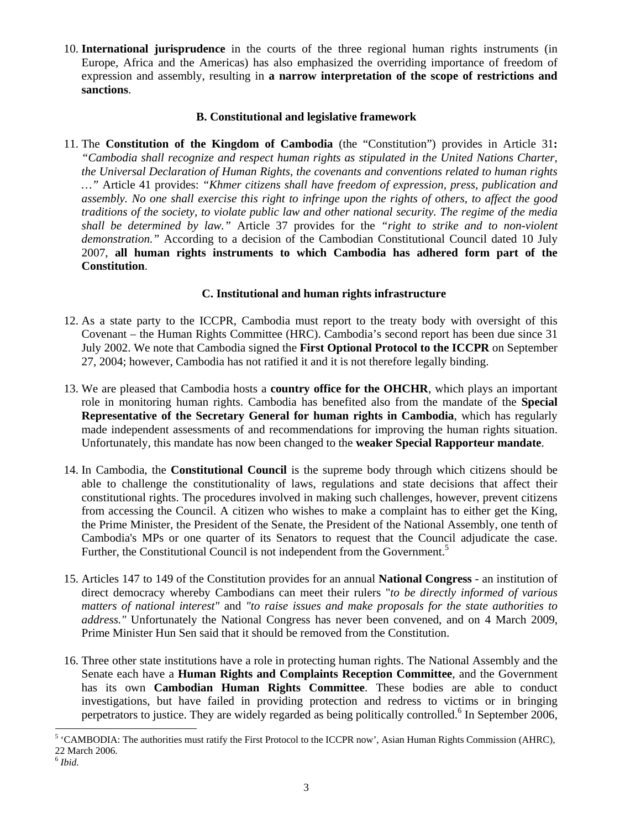10. **International jurisprudence** in the courts of the three regional human rights instruments (in Europe, Africa and the Americas) has also emphasized the overriding importance of freedom of expression and assembly, resulting in **a narrow interpretation of the scope of restrictions and sanctions**.

#### **B. Constitutional and legislative framework**

11. The **Constitution of the Kingdom of Cambodia** (the "Constitution") provides in Article 31**:**  *"Cambodia shall recognize and respect human rights as stipulated in the United Nations Charter, the Universal Declaration of Human Rights, the covenants and conventions related to human rights …"* Article 41 provides: *"Khmer citizens shall have freedom of expression, press, publication and assembly. No one shall exercise this right to infringe upon the rights of others, to affect the good traditions of the society, to violate public law and other national security. The regime of the media shall be determined by law."* Article 37 provides for the *"right to strike and to non-violent demonstration."* According to a decision of the Cambodian Constitutional Council dated 10 July 2007, **all human rights instruments to which Cambodia has adhered form part of the Constitution**.

## **C. Institutional and human rights infrastructure**

- 12. As a state party to the ICCPR, Cambodia must report to the treaty body with oversight of this Covenant – the Human Rights Committee (HRC). Cambodia's second report has been due since 31 July 2002. We note that Cambodia signed the **First Optional Protocol to the ICCPR** on September 27, 2004; however, Cambodia has not ratified it and it is not therefore legally binding.
- 13. We are pleased that Cambodia hosts a **country office for the OHCHR**, which plays an important role in monitoring human rights. Cambodia has benefited also from the mandate of the **Special Representative of the Secretary General for human rights in Cambodia**, which has regularly made independent assessments of and recommendations for improving the human rights situation. Unfortunately, this mandate has now been changed to the **weaker Special Rapporteur mandate**.
- 14. In Cambodia, the **Constitutional Council** is the supreme body through which citizens should be able to challenge the constitutionality of laws, regulations and state decisions that affect their constitutional rights. The procedures involved in making such challenges, however, prevent citizens from accessing the Council. A citizen who wishes to make a complaint has to either get the King, the Prime Minister, the President of the Senate, the President of the National Assembly, one tenth of Cambodia's MPs or one quarter of its Senators to request that the Council adjudicate the case. Further, the Constitutional Council is not independent from the Government.<sup>5</sup>
- 15. Articles 147 to 149 of the Constitution provides for an annual **National Congress** an institution of direct democracy whereby Cambodians can meet their rulers "*to be directly informed of various matters of national interest"* and *"to raise issues and make proposals for the state authorities to address."* Unfortunately the National Congress has never been convened, and on 4 March 2009, Prime Minister Hun Sen said that it should be removed from the Constitution.
- 16. Three other state institutions have a role in protecting human rights. The National Assembly and the Senate each have a **Human Rights and Complaints Reception Committee**, and the Government has its own **Cambodian Human Rights Committee**. These bodies are able to conduct investigations, but have failed in providing protection and redress to victims or in bringing perpetrators to justice. They are widely regarded as being politically controlled.<sup>6</sup> In September 2006,

l <sup>5</sup> 'CAMBODIA: The authorities must ratify the First Protocol to the ICCPR now', Asian Human Rights Commission (AHRC), 22 March 2006.

<sup>6</sup> *Ibid.*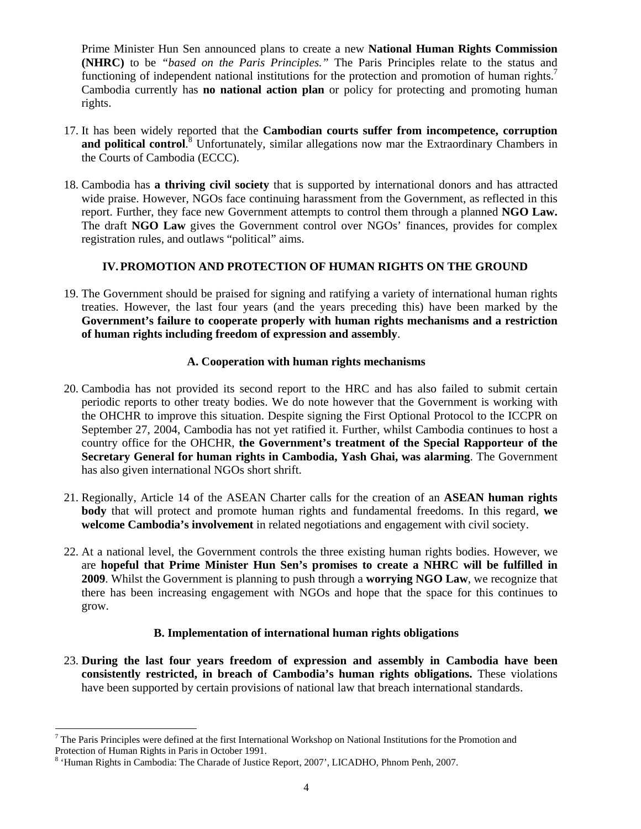Prime Minister Hun Sen announced plans to create a new **National Human Rights Commission (NHRC)** to be *"based on the Paris Principles."* The Paris Principles relate to the status and functioning of independent national institutions for the protection and promotion of human rights.<sup>7</sup> Cambodia currently has **no national action plan** or policy for protecting and promoting human rights.

- 17. It has been widely reported that the **Cambodian courts suffer from incompetence, corruption**  and political control.<sup>8</sup> Unfortunately, similar allegations now mar the Extraordinary Chambers in the Courts of Cambodia (ECCC).
- 18. Cambodia has **a thriving civil society** that is supported by international donors and has attracted wide praise. However, NGOs face continuing harassment from the Government, as reflected in this report. Further, they face new Government attempts to control them through a planned **NGO Law.**  The draft **NGO Law** gives the Government control over NGOs' finances, provides for complex registration rules, and outlaws "political" aims.

### **IV.PROMOTION AND PROTECTION OF HUMAN RIGHTS ON THE GROUND**

19. The Government should be praised for signing and ratifying a variety of international human rights treaties. However, the last four years (and the years preceding this) have been marked by the **Government's failure to cooperate properly with human rights mechanisms and a restriction of human rights including freedom of expression and assembly**.

### **A. Cooperation with human rights mechanisms**

- 20. Cambodia has not provided its second report to the HRC and has also failed to submit certain periodic reports to other treaty bodies. We do note however that the Government is working with the OHCHR to improve this situation. Despite signing the First Optional Protocol to the ICCPR on September 27, 2004, Cambodia has not yet ratified it. Further, whilst Cambodia continues to host a country office for the OHCHR, **the Government's treatment of the Special Rapporteur of the Secretary General for human rights in Cambodia, Yash Ghai, was alarming**. The Government has also given international NGOs short shrift.
- 21. Regionally, Article 14 of the ASEAN Charter calls for the creation of an **ASEAN human rights body** that will protect and promote human rights and fundamental freedoms. In this regard, **we welcome Cambodia's involvement** in related negotiations and engagement with civil society.
- 22. At a national level, the Government controls the three existing human rights bodies. However, we are **hopeful that Prime Minister Hun Sen's promises to create a NHRC will be fulfilled in 2009**. Whilst the Government is planning to push through a **worrying NGO Law**, we recognize that there has been increasing engagement with NGOs and hope that the space for this continues to grow.

## **B. Implementation of international human rights obligations**

23. **During the last four years freedom of expression and assembly in Cambodia have been consistently restricted, in breach of Cambodia's human rights obligations.** These violations have been supported by certain provisions of national law that breach international standards.

l  $7$  The Paris Principles were defined at the first International Workshop on National Institutions for the Promotion and Protection of Human Rights in Paris in October 1991.

<sup>&</sup>lt;sup>8</sup> 'Human Rights in Cambodia: The Charade of Justice Report, 2007', LICADHO, Phnom Penh, 2007.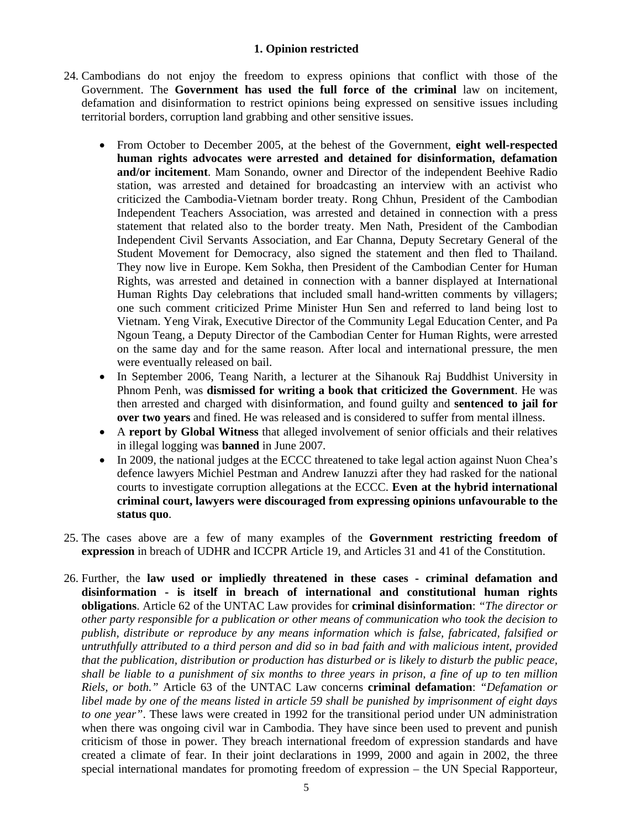### **1. Opinion restricted**

- 24. Cambodians do not enjoy the freedom to express opinions that conflict with those of the Government. The **Government has used the full force of the criminal** law on incitement, defamation and disinformation to restrict opinions being expressed on sensitive issues including territorial borders, corruption land grabbing and other sensitive issues.
	- From October to December 2005, at the behest of the Government, **eight well-respected human rights advocates were arrested and detained for disinformation, defamation and/or incitement**. Mam Sonando, owner and Director of the independent Beehive Radio station, was arrested and detained for broadcasting an interview with an activist who criticized the Cambodia-Vietnam border treaty. Rong Chhun, President of the Cambodian Independent Teachers Association, was arrested and detained in connection with a press statement that related also to the border treaty. Men Nath, President of the Cambodian Independent Civil Servants Association, and Ear Channa, Deputy Secretary General of the Student Movement for Democracy, also signed the statement and then fled to Thailand. They now live in Europe. Kem Sokha, then President of the Cambodian Center for Human Rights, was arrested and detained in connection with a banner displayed at International Human Rights Day celebrations that included small hand-written comments by villagers; one such comment criticized Prime Minister Hun Sen and referred to land being lost to Vietnam. Yeng Virak, Executive Director of the Community Legal Education Center, and Pa Ngoun Teang, a Deputy Director of the Cambodian Center for Human Rights, were arrested on the same day and for the same reason. After local and international pressure, the men were eventually released on bail.
	- In September 2006, Teang Narith, a lecturer at the Sihanouk Raj Buddhist University in Phnom Penh, was **dismissed for writing a book that criticized the Government**. He was then arrested and charged with disinformation, and found guilty and **sentenced to jail for over two years** and fined. He was released and is considered to suffer from mental illness.
	- A **report by Global Witness** that alleged involvement of senior officials and their relatives in illegal logging was **banned** in June 2007.
	- In 2009, the national judges at the ECCC threatened to take legal action against Nuon Chea's defence lawyers Michiel Pestman and Andrew Ianuzzi after they had rasked for the national courts to investigate corruption allegations at the ECCC. **Even at the hybrid international criminal court, lawyers were discouraged from expressing opinions unfavourable to the status quo**.
- 25. The cases above are a few of many examples of the **Government restricting freedom of expression** in breach of UDHR and ICCPR Article 19, and Articles 31 and 41 of the Constitution.
- 26. Further, the **law used or impliedly threatened in these cases criminal defamation and disinformation - is itself in breach of international and constitutional human rights obligations**. Article 62 of the UNTAC Law provides for **criminal disinformation**: *"The director or other party responsible for a publication or other means of communication who took the decision to publish, distribute or reproduce by any means information which is false, fabricated, falsified or untruthfully attributed to a third person and did so in bad faith and with malicious intent, provided that the publication, distribution or production has disturbed or is likely to disturb the public peace, shall be liable to a punishment of six months to three years in prison, a fine of up to ten million Riels, or both."* Article 63 of the UNTAC Law concerns **criminal defamation**: *"Defamation or libel made by one of the means listed in article 59 shall be punished by imprisonment of eight days to one year"*. These laws were created in 1992 for the transitional period under UN administration when there was ongoing civil war in Cambodia. They have since been used to prevent and punish criticism of those in power. They breach international freedom of expression standards and have created a climate of fear. In their joint declarations in 1999, 2000 and again in 2002, the three special international mandates for promoting freedom of expression – the UN Special Rapporteur,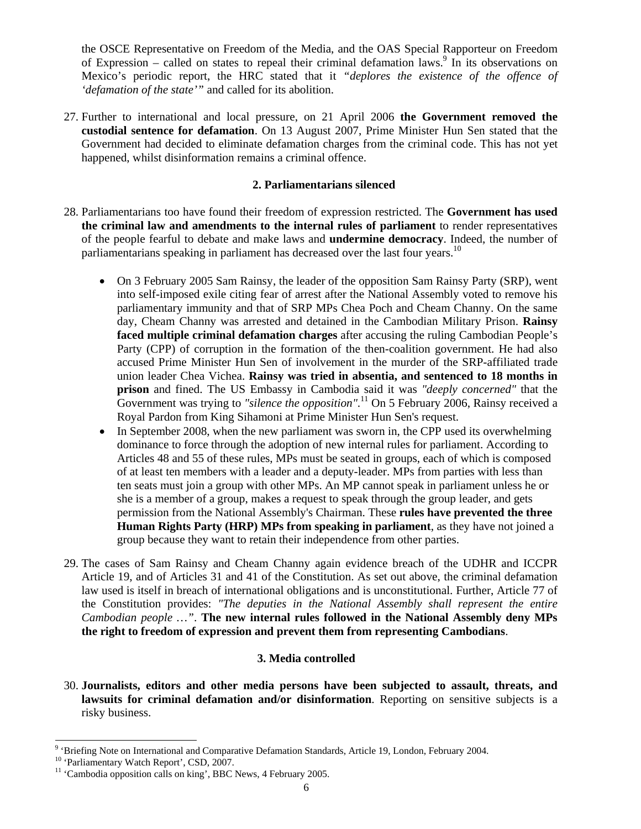the OSCE Representative on Freedom of the Media, and the OAS Special Rapporteur on Freedom of Expression – called on states to repeal their criminal defamation laws.<sup>9</sup> In its observations on Mexico's periodic report, the HRC stated that it *"deplores the existence of the offence of 'defamation of the state'"* and called for its abolition.

27. Further to international and local pressure, on 21 April 2006 **the Government removed the custodial sentence for defamation**. On 13 August 2007, Prime Minister Hun Sen stated that the Government had decided to eliminate defamation charges from the criminal code. This has not yet happened, whilst disinformation remains a criminal offence.

### **2. Parliamentarians silenced**

- 28. Parliamentarians too have found their freedom of expression restricted. The **Government has used the criminal law and amendments to the internal rules of parliament** to render representatives of the people fearful to debate and make laws and **undermine democracy**. Indeed, the number of parliamentarians speaking in parliament has decreased over the last four years.<sup>10</sup>
	- On 3 February 2005 Sam Rainsy, the leader of the opposition Sam Rainsy Party (SRP), went into self-imposed exile citing fear of arrest after the National Assembly voted to remove his parliamentary immunity and that of SRP MPs Chea Poch and Cheam Channy. On the same day, Cheam Channy was arrested and detained in the Cambodian Military Prison. **Rainsy faced multiple criminal defamation charges** after accusing the ruling Cambodian People's Party (CPP) of corruption in the formation of the then-coalition government. He had also accused Prime Minister Hun Sen of involvement in the murder of the SRP-affiliated trade union leader Chea Vichea. **Rainsy was tried in absentia, and sentenced to 18 months in prison** and fined. The US Embassy in Cambodia said it was *"deeply concerned"* that the Government was trying to *"silence the opposition"*. 11 On 5 February 2006, Rainsy received a Royal Pardon from King Sihamoni at Prime Minister Hun Sen's request.
	- In September 2008, when the new parliament was sworn in, the CPP used its overwhelming dominance to force through the adoption of new internal rules for parliament. According to Articles 48 and 55 of these rules, MPs must be seated in groups, each of which is composed of at least ten members with a leader and a deputy-leader. MPs from parties with less than ten seats must join a group with other MPs. An MP cannot speak in parliament unless he or she is a member of a group, makes a request to speak through the group leader, and gets permission from the National Assembly's Chairman. These **rules have prevented the three Human Rights Party (HRP) MPs from speaking in parliament**, as they have not joined a group because they want to retain their independence from other parties.
- 29. The cases of Sam Rainsy and Cheam Channy again evidence breach of the UDHR and ICCPR Article 19, and of Articles 31 and 41 of the Constitution. As set out above, the criminal defamation law used is itself in breach of international obligations and is unconstitutional. Further, Article 77 of the Constitution provides: *"The deputies in the National Assembly shall represent the entire Cambodian people …"*. **The new internal rules followed in the National Assembly deny MPs the right to freedom of expression and prevent them from representing Cambodians**.

#### **3. Media controlled**

30. **Journalists, editors and other media persons have been subjected to assault, threats, and lawsuits for criminal defamation and/or disinformation**. Reporting on sensitive subjects is a risky business.

 $\overline{a}$ 

<sup>&</sup>lt;sup>9</sup> 'Briefing Note on International and Comparative Defamation Standards, Article 19, London, February 2004.

<sup>&</sup>lt;sup>10</sup> 'Parliamentary Watch Report', CSD, 2007.

 $11$  'Cambodia opposition calls on king', BBC News, 4 February 2005.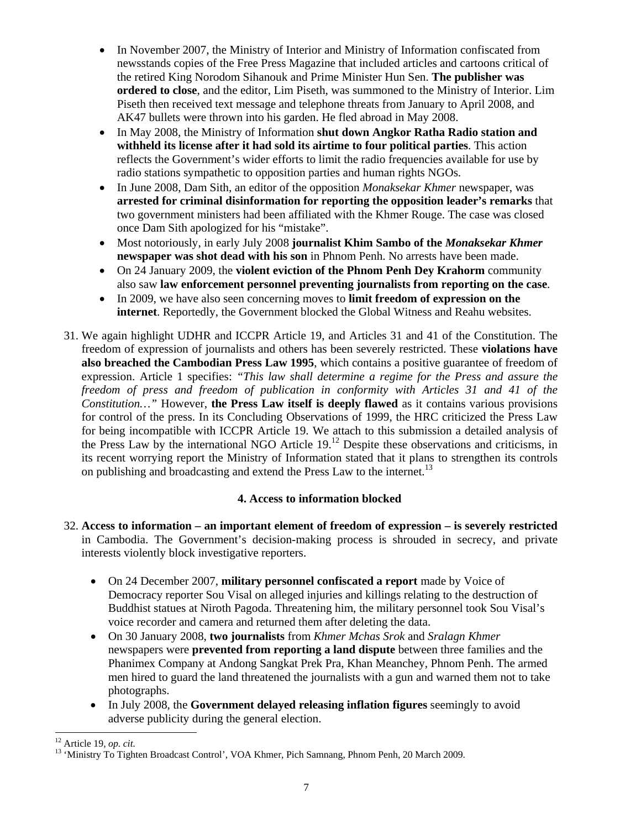- In November 2007, the Ministry of Interior and Ministry of Information confiscated from newsstands copies of the Free Press Magazine that included articles and cartoons critical of the retired King Norodom Sihanouk and Prime Minister Hun Sen. **The publisher was ordered to close**, and the editor, Lim Piseth, was summoned to the Ministry of Interior. Lim Piseth then received text message and telephone threats from January to April 2008, and AK47 bullets were thrown into his garden. He fled abroad in May 2008.
- In May 2008, the Ministry of Information **shut down Angkor Ratha Radio station and withheld its license after it had sold its airtime to four political parties**. This action reflects the Government's wider efforts to limit the radio frequencies available for use by radio stations sympathetic to opposition parties and human rights NGOs.
- In June 2008, Dam Sith, an editor of the opposition *Monaksekar Khmer* newspaper, was **arrested for criminal disinformation for reporting the opposition leader's remarks** that two government ministers had been affiliated with the Khmer Rouge. The case was closed once Dam Sith apologized for his "mistake".
- Most notoriously, in early July 2008 **journalist Khim Sambo of the** *Monaksekar Khmer* **newspaper was shot dead with his son** in Phnom Penh. No arrests have been made.
- On 24 January 2009, the **violent eviction of the Phnom Penh Dey Krahorm** community also saw **law enforcement personnel preventing journalists from reporting on the case**.
- In 2009, we have also seen concerning moves to **limit freedom of expression on the internet**. Reportedly, the Government blocked the Global Witness and Reahu websites.
- 31. We again highlight UDHR and ICCPR Article 19, and Articles 31 and 41 of the Constitution. The freedom of expression of journalists and others has been severely restricted. These **violations have also breached the Cambodian Press Law 1995**, which contains a positive guarantee of freedom of expression. Article 1 specifies: *"This law shall determine a regime for the Press and assure the freedom of press and freedom of publication in conformity with Articles 31 and 41 of the Constitution…"* However, **the Press Law itself is deeply flawed** as it contains various provisions for control of the press. In its Concluding Observations of 1999, the HRC criticized the Press Law for being incompatible with ICCPR Article 19. We attach to this submission a detailed analysis of the Press Law by the international NGO Article 19.12 Despite these observations and criticisms, in its recent worrying report the Ministry of Information stated that it plans to strengthen its controls on publishing and broadcasting and extend the Press Law to the internet.<sup>13</sup>

## **4. Access to information blocked**

- 32. **Access to information an important element of freedom of expression is severely restricted** in Cambodia. The Government's decision-making process is shrouded in secrecy, and private interests violently block investigative reporters.
	- On 24 December 2007, **military personnel confiscated a report** made by Voice of Democracy reporter Sou Visal on alleged injuries and killings relating to the destruction of Buddhist statues at Niroth Pagoda. Threatening him, the military personnel took Sou Visal's voice recorder and camera and returned them after deleting the data.
	- On 30 January 2008, **two journalists** from *Khmer Mchas Srok* and *Sralagn Khmer*  newspapers were **prevented from reporting a land dispute** between three families and the Phanimex Company at Andong Sangkat Prek Pra, Khan Meanchey, Phnom Penh. The armed men hired to guard the land threatened the journalists with a gun and warned them not to take photographs.
	- In July 2008, the **Government delayed releasing inflation figures** seemingly to avoid adverse publicity during the general election.

 $12$  Article 19, op. cit.

<sup>&</sup>lt;sup>13</sup> 'Ministry To Tighten Broadcast Control', VOA Khmer, Pich Samnang, Phnom Penh, 20 March 2009.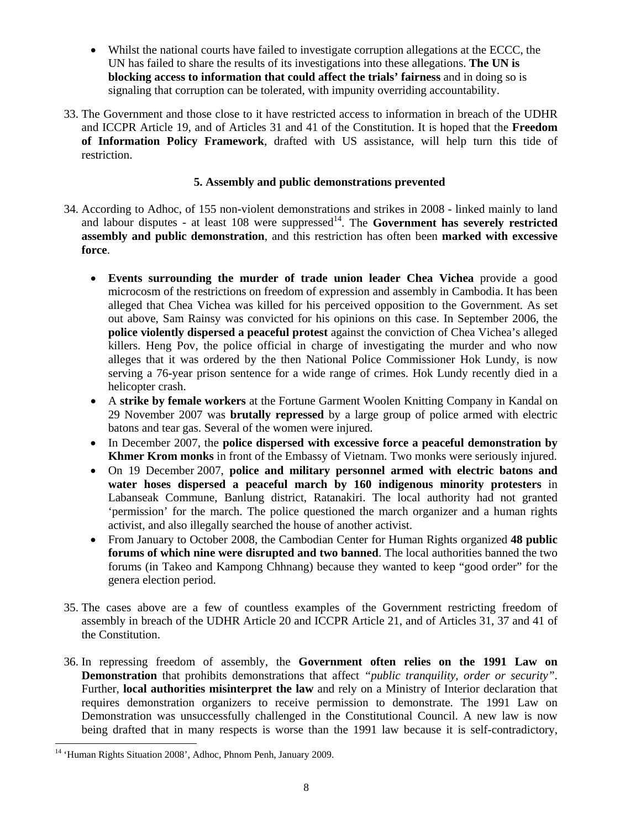- Whilst the national courts have failed to investigate corruption allegations at the ECCC, the UN has failed to share the results of its investigations into these allegations. **The UN is blocking access to information that could affect the trials' fairness** and in doing so is signaling that corruption can be tolerated, with impunity overriding accountability.
- 33. The Government and those close to it have restricted access to information in breach of the UDHR and ICCPR Article 19, and of Articles 31 and 41 of the Constitution. It is hoped that the **Freedom of Information Policy Framework**, drafted with US assistance, will help turn this tide of restriction.

### **5. Assembly and public demonstrations prevented**

- 34. According to Adhoc, of 155 non-violent demonstrations and strikes in 2008 linked mainly to land and labour disputes - at least  $108$  were suppressed<sup>14</sup>. The **Government has severely restricted assembly and public demonstration**, and this restriction has often been **marked with excessive force**.
	- **Events surrounding the murder of trade union leader Chea Vichea** provide a good microcosm of the restrictions on freedom of expression and assembly in Cambodia. It has been alleged that Chea Vichea was killed for his perceived opposition to the Government. As set out above, Sam Rainsy was convicted for his opinions on this case. In September 2006, the **police violently dispersed a peaceful protest** against the conviction of Chea Vichea's alleged killers. Heng Pov, the police official in charge of investigating the murder and who now alleges that it was ordered by the then National Police Commissioner Hok Lundy, is now serving a 76-year prison sentence for a wide range of crimes. Hok Lundy recently died in a helicopter crash.
	- A **strike by female workers** at the Fortune Garment Woolen Knitting Company in Kandal on 29 November 2007 was **brutally repressed** by a large group of police armed with electric batons and tear gas. Several of the women were injured.
	- In December 2007, the **police dispersed with excessive force a peaceful demonstration by Khmer Krom monks** in front of the Embassy of Vietnam. Two monks were seriously injured.
	- On 19 December 2007, **police and military personnel armed with electric batons and water hoses dispersed a peaceful march by 160 indigenous minority protesters** in Labanseak Commune, Banlung district, Ratanakiri. The local authority had not granted 'permission' for the march. The police questioned the march organizer and a human rights activist, and also illegally searched the house of another activist.
	- From January to October 2008, the Cambodian Center for Human Rights organized **48 public forums of which nine were disrupted and two banned**. The local authorities banned the two forums (in Takeo and Kampong Chhnang) because they wanted to keep "good order" for the genera election period.
- 35. The cases above are a few of countless examples of the Government restricting freedom of assembly in breach of the UDHR Article 20 and ICCPR Article 21, and of Articles 31, 37 and 41 of the Constitution.
- 36. In repressing freedom of assembly, the **Government often relies on the 1991 Law on Demonstration** that prohibits demonstrations that affect *"public tranquility, order or security"*. Further, **local authorities misinterpret the law** and rely on a Ministry of Interior declaration that requires demonstration organizers to receive permission to demonstrate. The 1991 Law on Demonstration was unsuccessfully challenged in the Constitutional Council. A new law is now being drafted that in many respects is worse than the 1991 law because it is self-contradictory,

l <sup>14</sup> 'Human Rights Situation 2008', Adhoc, Phnom Penh, January 2009.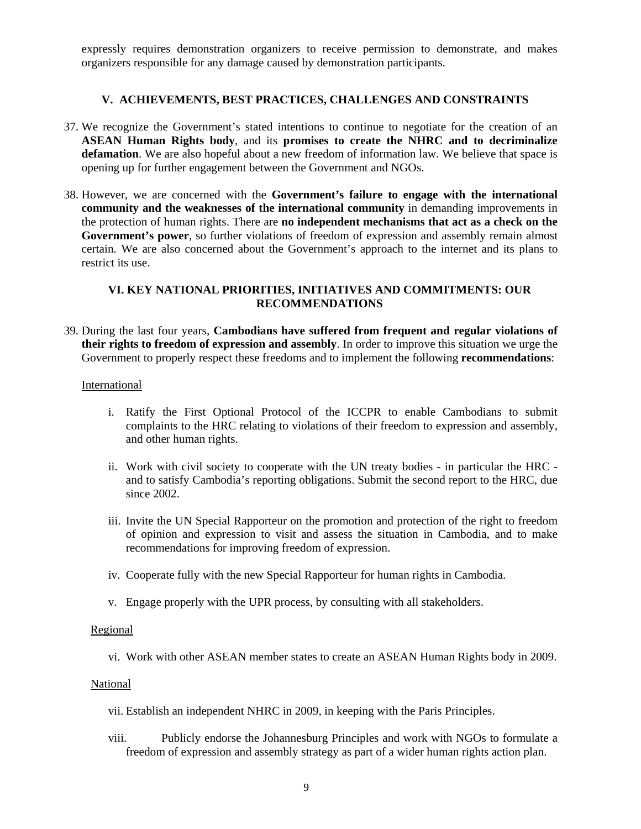expressly requires demonstration organizers to receive permission to demonstrate, and makes organizers responsible for any damage caused by demonstration participants.

#### **V. ACHIEVEMENTS, BEST PRACTICES, CHALLENGES AND CONSTRAINTS**

- 37. We recognize the Government's stated intentions to continue to negotiate for the creation of an **ASEAN Human Rights body**, and its **promises to create the NHRC and to decriminalize defamation**. We are also hopeful about a new freedom of information law. We believe that space is opening up for further engagement between the Government and NGOs.
- 38. However, we are concerned with the **Government's failure to engage with the international community and the weaknesses of the international community** in demanding improvements in the protection of human rights. There are **no independent mechanisms that act as a check on the Government's power**, so further violations of freedom of expression and assembly remain almost certain. We are also concerned about the Government's approach to the internet and its plans to restrict its use.

### **VI. KEY NATIONAL PRIORITIES, INITIATIVES AND COMMITMENTS: OUR RECOMMENDATIONS**

39. During the last four years, **Cambodians have suffered from frequent and regular violations of their rights to freedom of expression and assembly**. In order to improve this situation we urge the Government to properly respect these freedoms and to implement the following **recommendations**:

#### International

- i. Ratify the First Optional Protocol of the ICCPR to enable Cambodians to submit complaints to the HRC relating to violations of their freedom to expression and assembly, and other human rights.
- ii. Work with civil society to cooperate with the UN treaty bodies in particular the HRC and to satisfy Cambodia's reporting obligations. Submit the second report to the HRC, due since 2002.
- iii. Invite the UN Special Rapporteur on the promotion and protection of the right to freedom of opinion and expression to visit and assess the situation in Cambodia, and to make recommendations for improving freedom of expression.
- iv. Cooperate fully with the new Special Rapporteur for human rights in Cambodia.
- v. Engage properly with the UPR process, by consulting with all stakeholders.

#### Regional

vi. Work with other ASEAN member states to create an ASEAN Human Rights body in 2009.

#### National

- vii. Establish an independent NHRC in 2009, in keeping with the Paris Principles.
- viii. Publicly endorse the Johannesburg Principles and work with NGOs to formulate a freedom of expression and assembly strategy as part of a wider human rights action plan.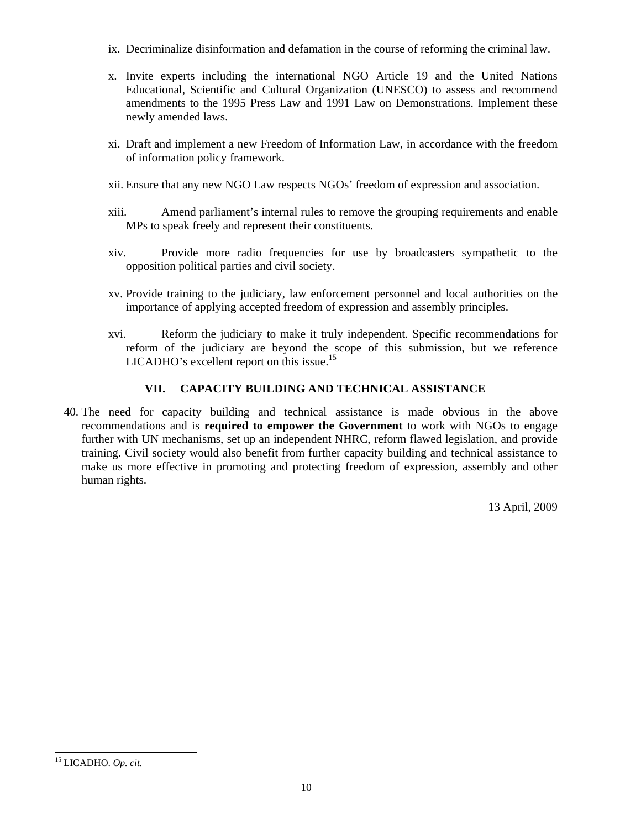- ix. Decriminalize disinformation and defamation in the course of reforming the criminal law.
- x. Invite experts including the international NGO Article 19 and the United Nations Educational, Scientific and Cultural Organization (UNESCO) to assess and recommend amendments to the 1995 Press Law and 1991 Law on Demonstrations. Implement these newly amended laws.
- xi. Draft and implement a new Freedom of Information Law, in accordance with the freedom of information policy framework.
- xii. Ensure that any new NGO Law respects NGOs' freedom of expression and association.
- xiii. Amend parliament's internal rules to remove the grouping requirements and enable MPs to speak freely and represent their constituents.
- xiv. Provide more radio frequencies for use by broadcasters sympathetic to the opposition political parties and civil society.
- xv. Provide training to the judiciary, law enforcement personnel and local authorities on the importance of applying accepted freedom of expression and assembly principles.
- xvi. Reform the judiciary to make it truly independent. Specific recommendations for reform of the judiciary are beyond the scope of this submission, but we reference  $LICADHO's excellent report on this issue.<sup>15</sup>$

## **VII. CAPACITY BUILDING AND TECHNICAL ASSISTANCE**

40. The need for capacity building and technical assistance is made obvious in the above recommendations and is **required to empower the Government** to work with NGOs to engage further with UN mechanisms, set up an independent NHRC, reform flawed legislation, and provide training. Civil society would also benefit from further capacity building and technical assistance to make us more effective in promoting and protecting freedom of expression, assembly and other human rights.

13 April, 2009

 $\overline{a}$ 

<sup>15</sup> LICADHO. *Op. cit.*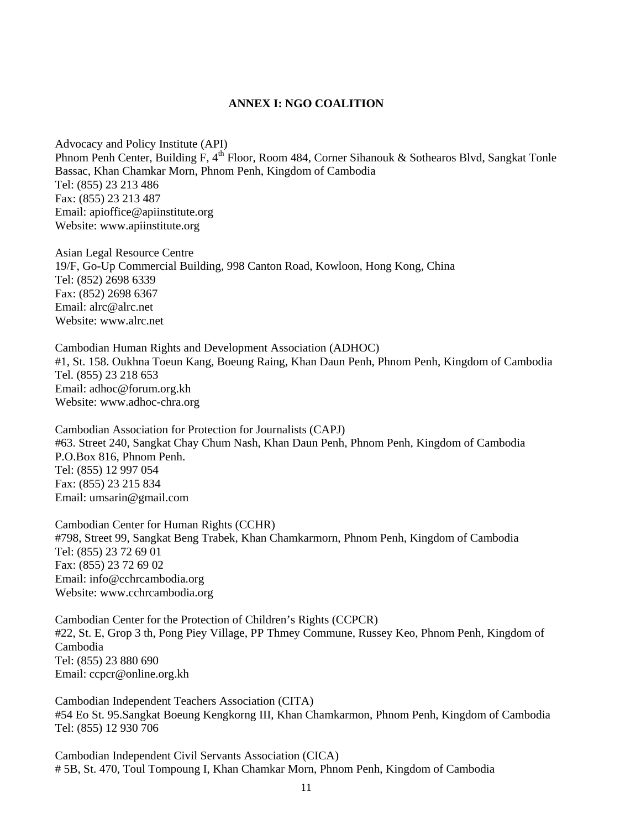#### **ANNEX I: NGO COALITION**

Advocacy and Policy Institute (API) Phnom Penh Center, Building F, 4<sup>th</sup> Floor, Room 484, Corner Sihanouk & Sothearos Blvd, Sangkat Tonle Bassac, Khan Chamkar Morn, Phnom Penh, Kingdom of Cambodia Tel: (855) 23 213 486 Fax: (855) 23 213 487 Email: apioffice@apiinstitute.org Website: www.apiinstitute.org

Asian Legal Resource Centre 19/F, Go-Up Commercial Building, 998 Canton Road, Kowloon, Hong Kong, China Tel: (852) 2698 6339 Fax: (852) 2698 6367 Email: alrc@alrc.net Website: www.alrc.net

Cambodian Human Rights and Development Association (ADHOC) #1, St. 158. Oukhna Toeun Kang, Boeung Raing, Khan Daun Penh, Phnom Penh, Kingdom of Cambodia Tel. (855) 23 218 653 Email: adhoc@forum.org.kh Website: www.adhoc-chra.org

Cambodian Association for Protection for Journalists (CAPJ) #63. Street 240, Sangkat Chay Chum Nash, Khan Daun Penh, Phnom Penh, Kingdom of Cambodia P.O.Box 816, Phnom Penh. Tel: (855) 12 997 054 Fax: (855) 23 215 834 Email: umsarin@gmail.com

Cambodian Center for Human Rights (CCHR) #798, Street 99, Sangkat Beng Trabek, Khan Chamkarmorn, Phnom Penh, Kingdom of Cambodia Tel: (855) 23 72 69 01 Fax: (855) 23 72 69 02 Email: info@cchrcambodia.org Website: www.cchrcambodia.org

Cambodian Center for the Protection of Children's Rights (CCPCR) #22, St. E, Grop 3 th, Pong Piey Village, PP Thmey Commune, Russey Keo, Phnom Penh, Kingdom of Cambodia Tel: (855) 23 880 690 Email: ccpcr@online.org.kh

Cambodian Independent Teachers Association (CITA) #54 Eo St. 95.Sangkat Boeung Kengkorng III, Khan Chamkarmon, Phnom Penh, Kingdom of Cambodia Tel: (855) 12 930 706

Cambodian Independent Civil Servants Association (CICA) # 5B, St. 470, Toul Tompoung I, Khan Chamkar Morn, Phnom Penh, Kingdom of Cambodia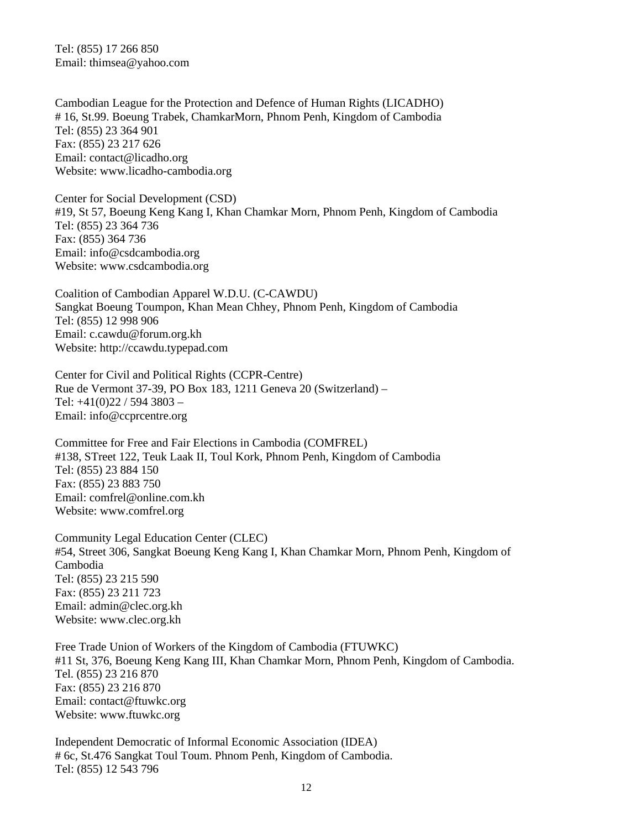Tel: (855) 17 266 850 Email: thimsea@yahoo.com

Cambodian League for the Protection and Defence of Human Rights (LICADHO) # 16, St.99. Boeung Trabek, ChamkarMorn, Phnom Penh, Kingdom of Cambodia Tel: (855) 23 364 901 Fax: (855) 23 217 626 Email: contact@licadho.org Website: www.licadho-cambodia.org

Center for Social Development (CSD) #19, St 57, Boeung Keng Kang I, Khan Chamkar Morn, Phnom Penh, Kingdom of Cambodia Tel: (855) 23 364 736 Fax: (855) 364 736 Email: info@csdcambodia.org Website: www.csdcambodia.org

Coalition of Cambodian Apparel W.D.U. (C-CAWDU) Sangkat Boeung Toumpon, Khan Mean Chhey, Phnom Penh, Kingdom of Cambodia Tel: (855) 12 998 906 Email: c.cawdu@forum.org.kh Website: http://ccawdu.typepad.com

Center for Civil and Political Rights (CCPR-Centre) Rue de Vermont 37-39, PO Box 183, 1211 Geneva 20 (Switzerland) – Tel: +41(0)22 / 594 3803 – Email: info@ccprcentre.org

Committee for Free and Fair Elections in Cambodia (COMFREL) #138, STreet 122, Teuk Laak II, Toul Kork, Phnom Penh, Kingdom of Cambodia Tel: (855) 23 884 150 Fax: (855) 23 883 750 Email: comfrel@online.com.kh Website: www.comfrel.org

Community Legal Education Center (CLEC) #54, Street 306, Sangkat Boeung Keng Kang I, Khan Chamkar Morn, Phnom Penh, Kingdom of Cambodia Tel: (855) 23 215 590 Fax: (855) 23 211 723 Email: admin@clec.org.kh Website: www.clec.org.kh

Free Trade Union of Workers of the Kingdom of Cambodia (FTUWKC) #11 St, 376, Boeung Keng Kang III, Khan Chamkar Morn, Phnom Penh, Kingdom of Cambodia. Tel. (855) 23 216 870 Fax: (855) 23 216 870 Email: contact@ftuwkc.org Website: www.ftuwkc.org

Independent Democratic of Informal Economic Association (IDEA) # 6c, St.476 Sangkat Toul Toum. Phnom Penh, Kingdom of Cambodia. Tel: (855) 12 543 796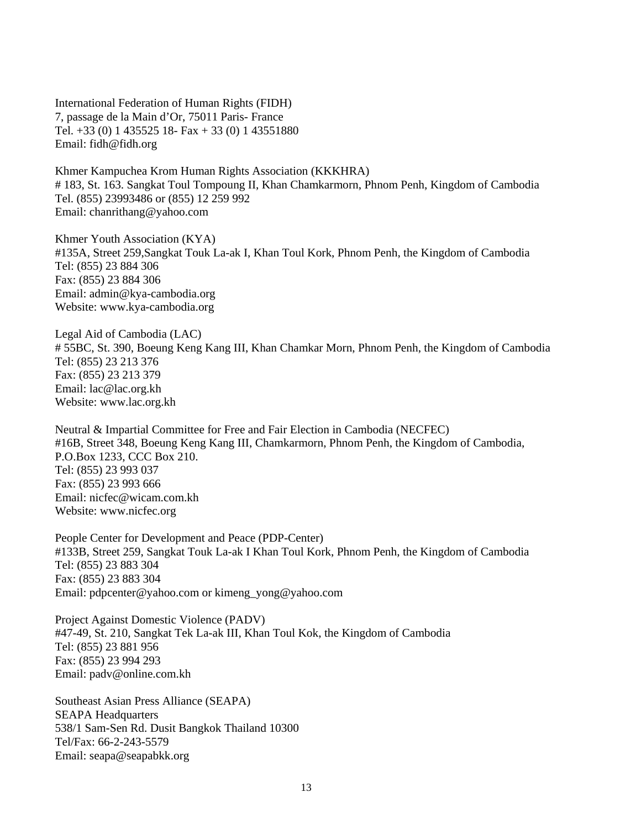International Federation of Human Rights (FIDH) 7, passage de la Main d'Or, 75011 Paris- France Tel. +33 (0) 1 435525 18- Fax + 33 (0) 1 43551880 Email: fidh@fidh.org

Khmer Kampuchea Krom Human Rights Association (KKKHRA) # 183, St. 163. Sangkat Toul Tompoung II, Khan Chamkarmorn, Phnom Penh, Kingdom of Cambodia Tel. (855) 23993486 or (855) 12 259 992 Email: chanrithang@yahoo.com

Khmer Youth Association (KYA) #135A, Street 259,Sangkat Touk La-ak I, Khan Toul Kork, Phnom Penh, the Kingdom of Cambodia Tel: (855) 23 884 306 Fax: (855) 23 884 306 Email: admin@kya-cambodia.org Website: www.kya-cambodia.org

Legal Aid of Cambodia (LAC) # 55BC, St. 390, Boeung Keng Kang III, Khan Chamkar Morn, Phnom Penh, the Kingdom of Cambodia Tel: (855) 23 213 376 Fax: (855) 23 213 379 Email: lac@lac.org.kh Website: www.lac.org.kh

Neutral & Impartial Committee for Free and Fair Election in Cambodia (NECFEC) #16B, Street 348, Boeung Keng Kang III, Chamkarmorn, Phnom Penh, the Kingdom of Cambodia, P.O.Box 1233, CCC Box 210. Tel: (855) 23 993 037 Fax: (855) 23 993 666 Email: nicfec@wicam.com.kh Website: www.nicfec.org

People Center for Development and Peace (PDP-Center) #133B, Street 259, Sangkat Touk La-ak I Khan Toul Kork, Phnom Penh, the Kingdom of Cambodia Tel: (855) 23 883 304 Fax: (855) 23 883 304 Email: pdpcenter@yahoo.com or kimeng\_yong@yahoo.com

Project Against Domestic Violence (PADV) #47-49, St. 210, Sangkat Tek La-ak III, Khan Toul Kok, the Kingdom of Cambodia Tel: (855) 23 881 956 Fax: (855) 23 994 293 Email: padv@online.com.kh

Southeast Asian Press Alliance (SEAPA) SEAPA Headquarters 538/1 Sam-Sen Rd. Dusit Bangkok Thailand 10300 Tel/Fax: 66-2-243-5579 Email: seapa@seapabkk.org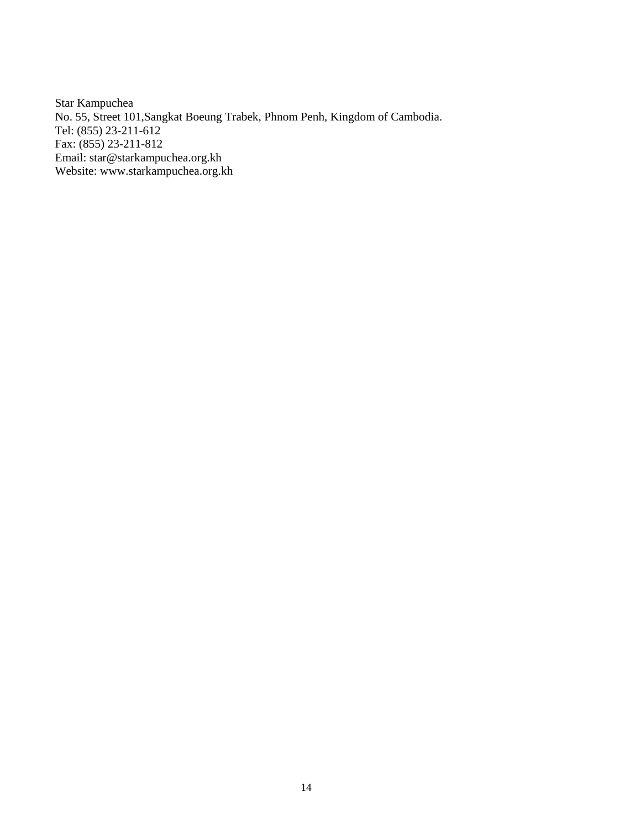Star Kampuchea No. 55, Street 101,Sangkat Boeung Trabek, Phnom Penh, Kingdom of Cambodia. Tel: (855) 23-211-612 Fax: (855) 23-211-812 Email: star@starkampuchea.org.kh Website: www.starkampuchea.org.kh